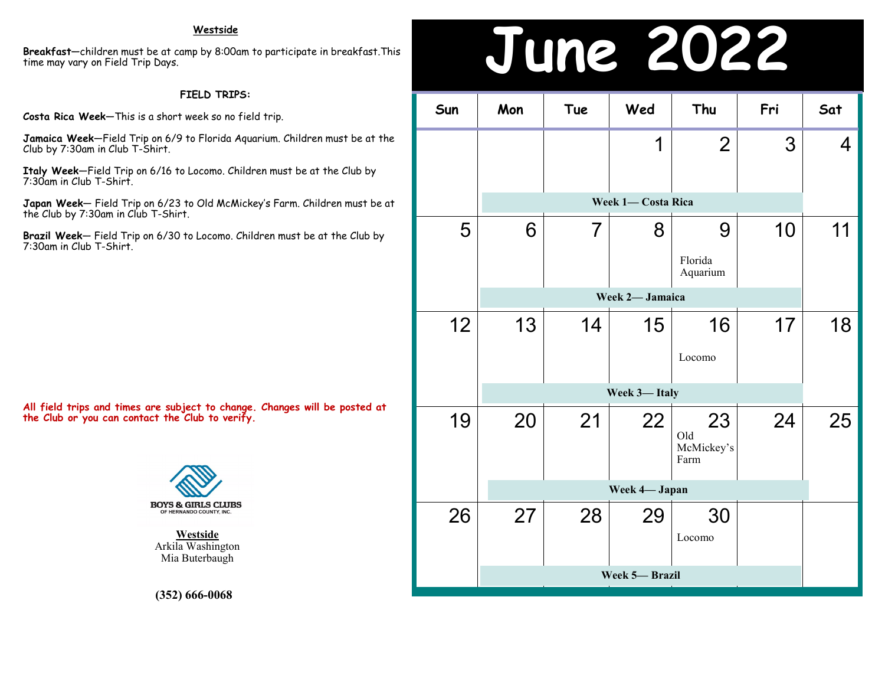**Breakfast**—children must be at camp by 8:00am to participate in breakfast.This time may vary on Field Trip Days.

### **FIELD TRIPS:**

**Costa Rica Week**—This is a short week so no field trip.

**Jamaica Week**—Field Trip on 6/9 to Florida Aquarium. Children must be at the Club by 7:30am in Club T-Shirt.

**Italy Week**—Field Trip on 6/16 to Locomo. Children must be at the Club by 7:30am in Club T-Shirt.

**Japan Week**— Field Trip on 6/23 to Old McMickey's Farm. Children must be at the Club by 7:30am in Club T-Shirt.

**Brazil Week**— Field Trip on 6/30 to Locomo. Children must be at the Club by 7:30am in Club T-Shirt.

**All field trips and times are subject to change. Changes will be posted at the Club or you can contact the Club to verify.**



**Westside** Arkila Washington Mia Buterbaugh

**(352) 666-0068**

## Westside<br>up by 8:00am to participate in breakfast.This<br>**June 2022**

| Sun          | Mon                | Tue             | Wed | Thu                             | Fri | Sat |  |  |
|--------------|--------------------|-----------------|-----|---------------------------------|-----|-----|--|--|
|              |                    |                 | 1   | $\overline{2}$                  | 3   | 4   |  |  |
|              | Week 1- Costa Rica |                 |     |                                 |     |     |  |  |
| 5            | 6                  | 7               | 8   | 9                               | 10  | 11  |  |  |
|              |                    |                 |     | Florida<br>Aquarium             |     |     |  |  |
|              |                    | Week 2- Jamaica |     |                                 |     |     |  |  |
| 12           | 13                 | 14              | 15  | 16                              | 17  | 18  |  |  |
|              |                    |                 |     | Locomo                          |     |     |  |  |
| Week 3-Italy |                    |                 |     |                                 |     |     |  |  |
| 19           | 20                 | 21              | 22  | 23<br>Old<br>McMickey's<br>Farm | 24  | 25  |  |  |
|              |                    | Week 4- Japan   |     |                                 |     |     |  |  |
| 26           | 27                 | 28              | 29  | 30<br>Locomo                    |     |     |  |  |
|              | Week 5-Brazil      |                 |     |                                 |     |     |  |  |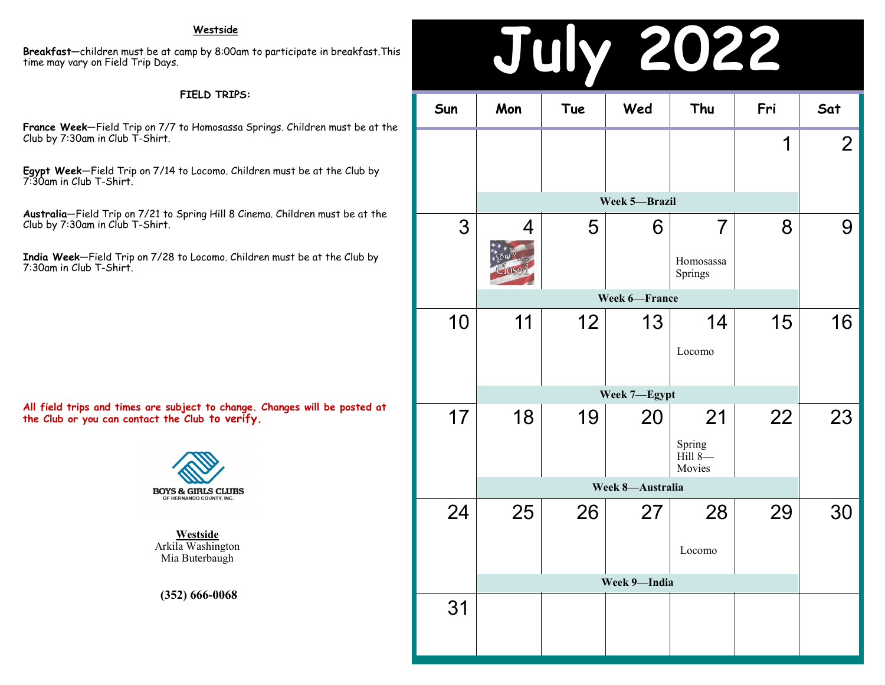#### **Westside**

**Breakfast**—children must be at camp by 8:00am to participate in breakfast.This time may vary on Field Trip Days.

#### **FIELD TRIPS:**

**France Week**—Field Trip on 7/7 to Homosassa Springs. Children must be at the Club by 7:30am in Club T-Shirt.

**Egypt Week**—Field Trip on 7/14 to Locomo. Children must be at the Club by 7:30am in Club T-Shirt.

**Australia**—Field Trip on 7/21 to Spring Hill 8 Cinema. Children must be at the Club by 7:30am in Club T-Shirt.

**India Week**—Field Trip on 7/28 to Locomo. Children must be at the Club by 7:30am in Club T-Shirt.

**All field trips and times are subject to change. Changes will be posted at the Club or you can contact the Club to verify.**



**Westside** Arkila Washington Mia Buterbaugh

**(352) 666-0068**

### **July 2022 Sun Mon Tue Wed Thu Fri Sat** 1 2 3 4 5 6 7 8 9 10 11 12 13 14 15 16 17 18 19 20 21 22 23 24 25 26 27 28 29 30 31 **Week 7—Egypt** Spring Hill 8— Movies **Week 8—Australia** Locomo **Week 9—India Week 5—Brazil** Homosassa Springs **Week 6—France** Locomo